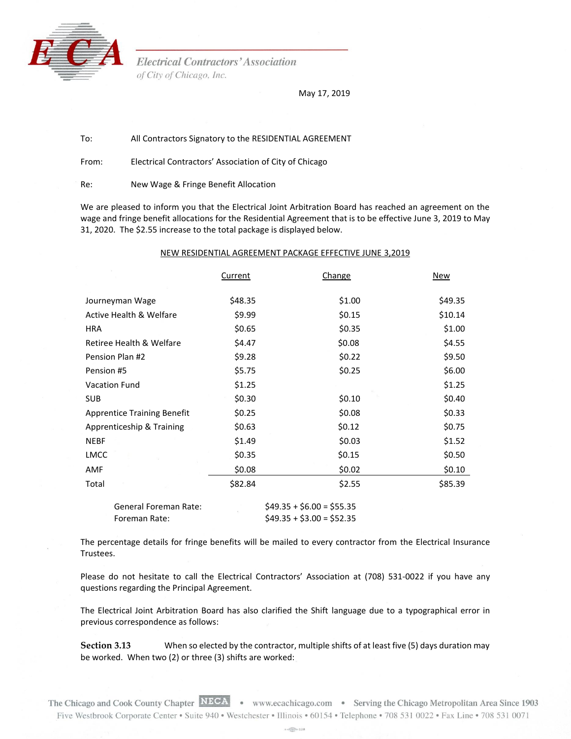

**Electrical Contractors' Association** of City of Chicago, Inc.

May 17, 2019

To: All Contractors Signatory to the RESIDENTIAL AGREEMENT

From: Electrical Contractors' Association of City of Chicago

Re: New Wage & Fringe Benefit Allocation

We are pleased to inform you that the Electrical Joint Arbitration Board has reached an agreement on the wage and fringe benefit allocations for the Residential Agreement that is to be effective June 3, 2019 to May 31, 2020. The \$2.55 increase to the total package is displayed below.

## NEW RESIDENTIAL AGREEMENT PACKAGE EFFECTIVE JUNE 3,2019

|                                    | Current | Change | New     |
|------------------------------------|---------|--------|---------|
|                                    |         |        |         |
| Journeyman Wage                    | \$48.35 | \$1.00 | \$49.35 |
| Active Health & Welfare            | \$9.99  | \$0.15 | \$10.14 |
| <b>HRA</b>                         | \$0.65  | \$0.35 | \$1.00  |
| Retiree Health & Welfare           | \$4.47  | \$0.08 | \$4.55  |
| Pension Plan #2                    | \$9.28  | \$0.22 | \$9.50  |
| Pension #5                         | \$5.75  | \$0.25 | \$6.00  |
| <b>Vacation Fund</b>               | \$1.25  |        | \$1.25  |
| <b>SUB</b>                         | \$0.30  | \$0.10 | \$0.40  |
| <b>Apprentice Training Benefit</b> | \$0.25  | \$0.08 | \$0.33  |
| Apprenticeship & Training          | \$0.63  | \$0.12 | \$0.75  |
| <b>NEBF</b>                        | \$1.49  | \$0.03 | \$1.52  |
| <b>LMCC</b>                        | \$0.35  | \$0.15 | \$0.50  |
| AMF                                | \$0.08  | \$0.02 | \$0.10  |
| Total                              | \$82.84 | \$2.55 | \$85.39 |
|                                    |         |        |         |

| General Foreman Rate: | $$49.35 + $6.00 = $55.35$ |
|-----------------------|---------------------------|
| Foreman Rate:         | $$49.35 + $3.00 = $52.35$ |

The percentage details for fringe benefits will be mailed to every contractor from the Electrical Insurance Trustees.

Please do not hesitate to call the Electrical Contractors' Association at (708) 531-0022 if you have any questions regarding the Principal Agreement.

The Electrical Joint Arbitration Board has also clarified the Shift language due to a typographical error in previous correspondence as follows:

**Section 3.13** When so elected by the contractor, multiple shifts of at least five (5) days duration may be worked. When two (2) or three (3) shifts are worked:

The Chicago and Cook County Chapter NECA . www.ecachicago.com . Serving the Chicago Metropolitan Area Since 1903 Five Westbrook Corporate Center • Suite 940 • Westchester • Illinois • 60154 • Telephone • 708 531 0022 • Fax Line • 708 531 0071